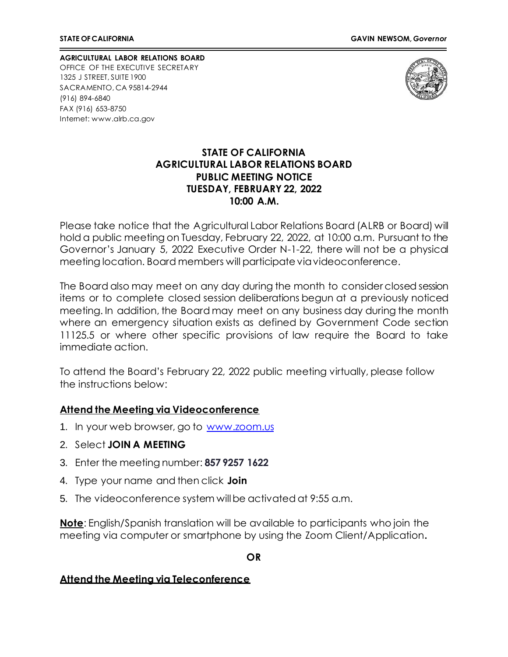**AGRICULTURAL LABOR RELATIONS BOARD** OFFICE OF THE EXECUTIVE SECRETARY 1325 J STREET, SUITE 1900 SACRAMENTO, CA 95814-2944 (916) 894-6840 FAX (916) 653-8750 Internet[: www.alrb.ca.gov](http://www.alrb.ca.gov/)



#### **STATE OF CALIFORNIA AGRICULTURAL LABOR RELATIONS BOARD PUBLIC MEETING NOTICE TUESDAY, FEBRUARY 22, 2022 10:00 A.M.**

Please take notice that the Agricultural Labor Relations Board (ALRB or Board) will hold a public meeting on Tuesday, February 22, 2022, at 10:00 a.m. Pursuant to the Governor's January 5, 2022 Executive Order N-1-22, there will not be a physical meeting location. Board members will participate viavideoconference.

The Board also may meet on any day during the month to consider closed session items or to complete closed session deliberations begun at a previously noticed meeting. In addition, the Board may meet on any business day during the month where an emergency situation exists as defined by Government Code section 11125.5 or where other specific provisions of law require the Board to take immediate action.

To attend the Board's February 22, 2022 public meeting virtually, please follow the instructions below:

### **Attend the Meeting via Videoconference**

- 1. In your web browser, go to [www.zoom.us](http://www.zoom.us/)
- 2. Select **JOIN A MEETING**
- 3. Enter the meeting number: **857 9257 1622**
- 4. Type your name and then click **Join**
- 5. The videoconference system will be activated at 9:55 a.m.

**Note**: English/Spanish translation will be available to participants who join the meeting via computer or smartphone by using the Zoom Client/Application**.**

#### **OR**

#### **Attend the Meeting via Teleconference**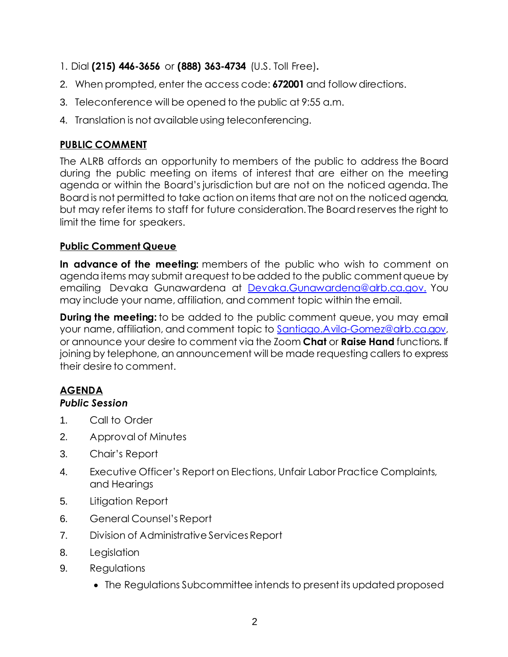- 1. Dial **(215) 446-3656** or **(888) 363-4734** (U.S. Toll Free)**.**
- 2. When prompted, enter the access code: **672001** and follow directions.
- 3. Teleconference will be opened to the public at 9:55 a.m.
- 4. Translation is not available using teleconferencing.

# **PUBLIC COMMENT**

The ALRB affords an opportunity to members of the public to address the Board during the public meeting on items of interest that are either on the meeting agenda or within the Board's jurisdiction but are not on the noticed agenda. The Board is not permitted to take action on items that are not on the noticed agenda, but may refer items to staff for future consideration. The Board reserves the right to limit the time for speakers.

# **Public Comment Queue**

**In advance of the meeting:** members of the public who wish to comment on agenda items may submit a request to be added to the public comment queue by emailing Devaka Gunawardena at [Devaka.Gunawardena@alrb.ca.gov.](mailto:Devaka.Gunawardena@alrb.ca.gov.) You may include your name, affiliation, and comment topic within the email.

**During the meeting:** to be added to the public comment queue, you may email your name, affiliation, and comment topic to [Santiago.Avila-Gomez@alrb.ca.gov,](mailto:Santiago.Avila-Gomez@alrb.ca.gov) or announce your desire to comment via the Zoom **Chat** or **Raise Hand** functions. If joining by telephone, an announcement will be made requesting callers to express their desire to comment.

# **AGENDA**

# *Public Session*

- 1. Call to Order
- 2. Approval of Minutes
- 3. Chair's Report
- 4. Executive Officer's Report on Elections, Unfair Labor Practice Complaints, and Hearings
- 5. Litigation Report
- 6. General Counsel's Report
- 7. Division of Administrative Services Report
- 8. Legislation
- 9. Regulations
	- The Regulations Subcommittee intends to present its updated proposed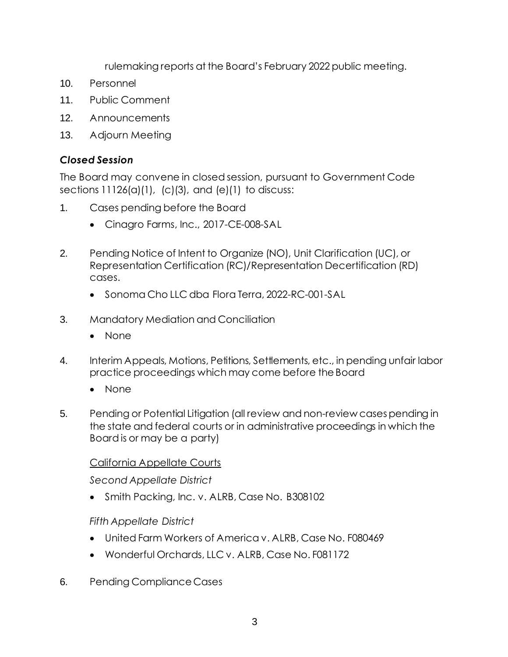rulemaking reports at the Board's February 2022 public meeting.

- 10. Personnel
- 11. Public Comment
- 12. Announcements
- 13. Adjourn Meeting

# *Closed Session*

The Board may convene in closed session, pursuant to Government Code sections  $11126(a)(1)$ ,  $(c)(3)$ , and  $(e)(1)$  to discuss:

- 1. Cases pending before the Board
	- Cinagro Farms, Inc., 2017-CE-008-SAL
- 2. Pending Notice of Intent to Organize (NO), Unit Clarification (UC), or Representation Certification (RC)/Representation Decertification (RD) cases.
	- Sonoma Cho LLC dba Flora Terra, 2022-RC-001-SAL
- 3. Mandatory Mediation and Conciliation
	- None
- 4. Interim Appeals, Motions, Petitions, Settlements, etc., in pending unfair labor practice proceedings which may come before theBoard
	- None
- 5. Pending or Potential Litigation (all review and non-review cases pending in the state and federal courts or in administrative proceedings in which the Board is or may be a party)

# California Appellate Courts

*Second Appellate District*

• Smith Packing, Inc. v. ALRB, Case No. B308102

# *Fifth Appellate District*

- United Farm Workers of America v. ALRB, Case No. F080469
- Wonderful Orchards, LLC v. ALRB, Case No. F081172
- 6. Pending Compliance Cases